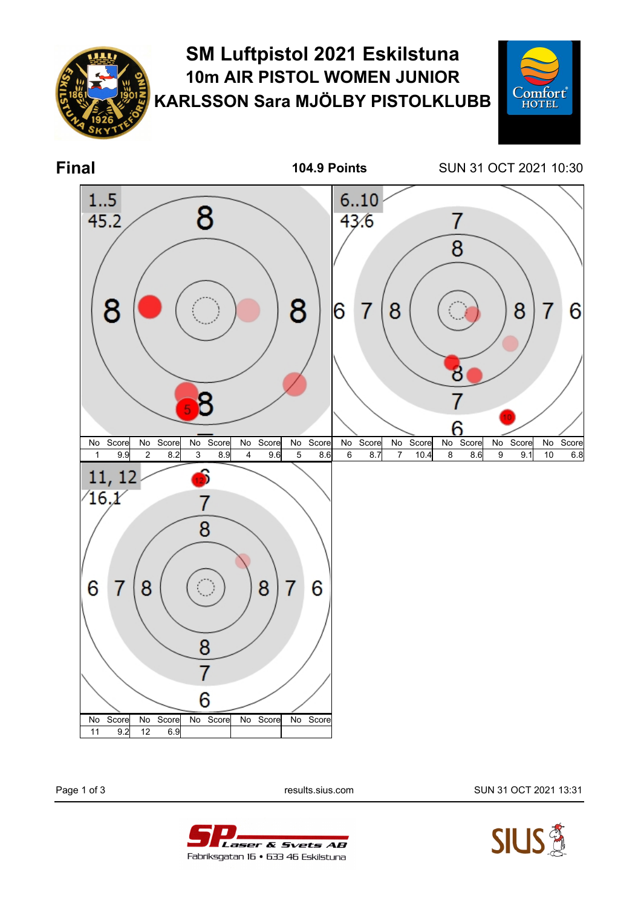

## **SM Luftpistol 2021 Eskilstuna 10m AIR PISTOL WOMEN JUNIOR KARLSSON Sara MJÖLBY PISTOLKLUBB**



**Final 104.9 Points** SUN 31 OCT 2021 10:30



Page 1 of 3 results.sius.com SUN 31 OCT 2021 13:31



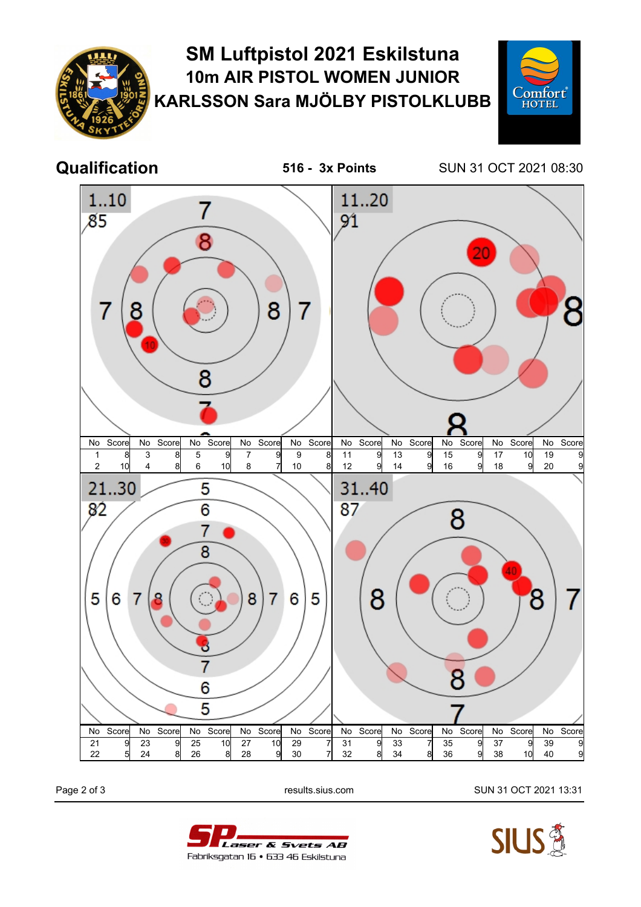

## **SM Luftpistol 2021 Eskilstuna 10m AIR PISTOL WOMEN JUNIOR KARLSSON Sara MJÖLBY PISTOLKLUBB**





**Qualification 516 - 3x Points** SUN 31 OCT 2021 08:30



Page 2 of 3 **results.sius.com results.sius.com** SUN 31 OCT 2021 13:31